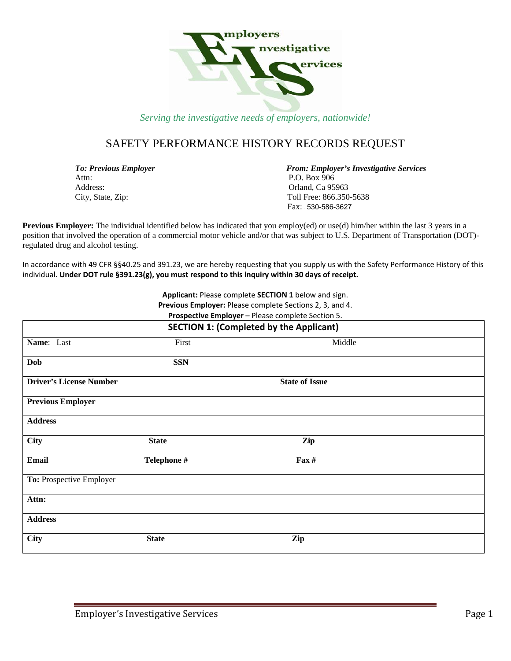

### SAFETY PERFORMANCE HISTORY RECORDS REQUEST

Attn: P.O. Box 906 Address: Canadian Canadian Capacitation of the Capacita Capacita Capacita Capacita Capacita Capacita Capacita Capacita Capacita Capacita Capacita Capacita Capacita Capacita Capacita Capacita Capacita Capacita Capacita Capa

**To: Previous Employer From: Employer's Investigative Services** City, State, Zip: Toll Free: 866.350-5638  $\text{Fax}: 530\text{-}586\text{-}3627$ 

**Previous Employer:** The individual identified below has indicated that you employ(ed) or use(d) him/her within the last 3 years in a position that involved the operation of a commercial motor vehicle and/or that was subject to U.S. Department of Transportation (DOT) regulated drug and alcohol testing.

In accordance with 49 CFR §§40.25 and 391.23, we are hereby requesting that you supply us with the Safety Performance History of this individual. **Under DOT rule §391.23(g), you must respond to this inquiry within 30 days of receipt.**

> **Applicant:** Please complete **SECTION 1** below and sign. **Previous Employer:** Please complete Sections 2, 3, and 4.

| <b>SECTION 1: (Completed by the Applicant)</b> |              |                       |  |  |
|------------------------------------------------|--------------|-----------------------|--|--|
| Name: Last                                     | First        | Middle                |  |  |
| <b>Dob</b>                                     | <b>SSN</b>   |                       |  |  |
| <b>Driver's License Number</b>                 |              | <b>State of Issue</b> |  |  |
| <b>Previous Employer</b>                       |              |                       |  |  |
| <b>Address</b>                                 |              |                       |  |  |
| <b>City</b>                                    | <b>State</b> | Zip                   |  |  |
| Email                                          | Telephone #  | Fax #                 |  |  |
| To: Prospective Employer                       |              |                       |  |  |
| Attn:                                          |              |                       |  |  |
| <b>Address</b>                                 |              |                       |  |  |
| City                                           | <b>State</b> | Zip                   |  |  |

**Prospective Employer** – Please complete Section 5.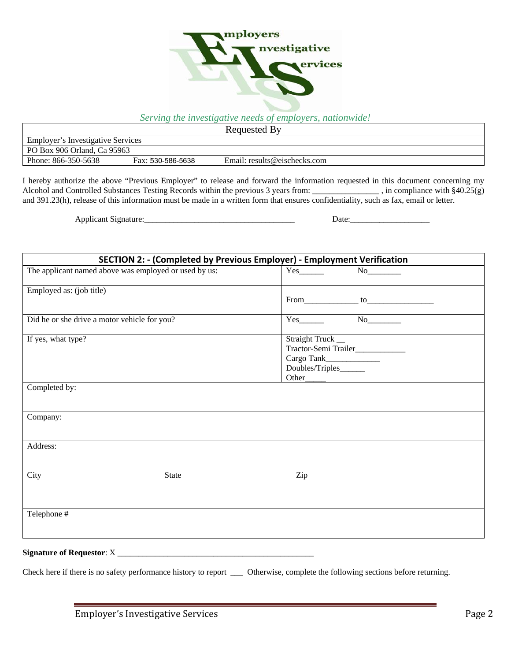

| Requested By                             |                   |                              |  |  |
|------------------------------------------|-------------------|------------------------------|--|--|
| <b>Employer's Investigative Services</b> |                   |                              |  |  |
| PO Box 906 Orland, Ca 95963              |                   |                              |  |  |
| Phone: 866-350-5638                      | Fax: 530-586-5638 | Email: results@eischecks.com |  |  |

I hereby authorize the above "Previous Employer" to release and forward the information requested in this document concerning my Alcohol and Controlled Substances Testing Records within the previous 3 years from: \_\_\_\_\_\_\_\_\_\_\_\_\_\_\_\_ , in compliance with §40.25(g) and 391.23(h), release of this information must be made in a written form that ensures confidentiality, such as fax, email or letter.

Applicant Signature:\_\_\_\_\_\_\_\_\_\_\_\_\_\_\_\_\_\_\_\_\_\_\_\_\_\_\_\_\_\_\_\_\_\_\_\_ Date:\_\_\_\_\_\_\_\_\_\_\_\_\_\_\_\_\_\_\_

| SECTION 2: - (Completed by Previous Employer) - Employment Verification |                                                                            |  |  |  |
|-------------------------------------------------------------------------|----------------------------------------------------------------------------|--|--|--|
| The applicant named above was employed or used by us:                   | $\overline{\text{No}}$                                                     |  |  |  |
| Employed as: (job title)                                                |                                                                            |  |  |  |
| Did he or she drive a motor vehicle for you?                            | $Yes$ No $No$                                                              |  |  |  |
| If yes, what type?                                                      | Straight Truck_<br>Tractor-Semi Trailer___________<br>Doubles/Triples_____ |  |  |  |
| Completed by:                                                           |                                                                            |  |  |  |
| Company:                                                                |                                                                            |  |  |  |
| Address:                                                                |                                                                            |  |  |  |
| City<br><b>State</b>                                                    | Zip                                                                        |  |  |  |
| Telephone #                                                             |                                                                            |  |  |  |

## **Signature of Requestor**: X \_\_\_\_\_\_\_\_\_\_\_\_\_\_\_\_\_\_\_\_\_\_\_\_\_\_\_\_\_\_\_\_\_\_\_\_\_\_\_\_\_\_\_\_\_\_\_

Check here if there is no safety performance history to report \_\_\_ Otherwise, complete the following sections before returning.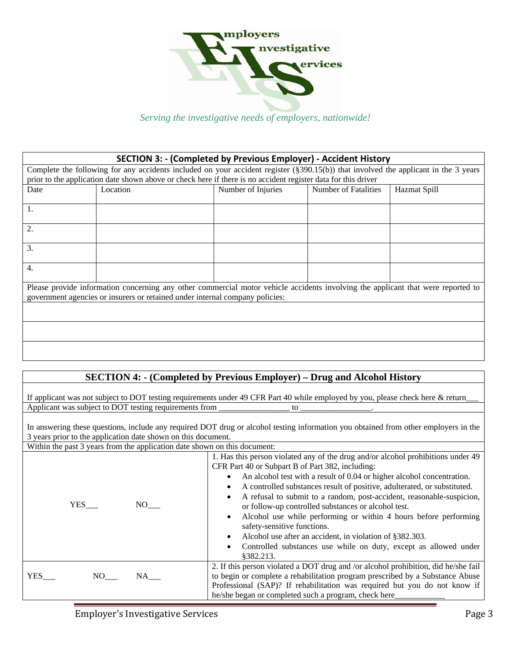

# **SECTION 3: ‐ (Completed by Previous Employer) ‐ Accident History** Complete the following for any accidents included on your accident register (§390.15(b)) that involved the applicant in the 3 years prior to the application date shown above or check here if there is no accident register data for this driver Date Location Number of Injuries Number of Fatalities Hazmat Spill 1. 2. 3. 4. Please provide information concerning any other commercial motor vehicle accidents involving the applicant that were reported to government agencies or insurers or retained under internal company policies:

### **SECTION 4: - (Completed by Previous Employer) – Drug and Alcohol History**

If applicant was not subject to DOT testing requirements under 49 CFR Part 40 while employed by you, please check here & return\_ Applicant was subject to DOT testing requirements from  $\Box$ 

In answering these questions, include any required DOT drug or alcohol testing information you obtained from other employers in the 3 years prior to the application date shown on this document.

|  | . |  |                                                                           |  |
|--|---|--|---------------------------------------------------------------------------|--|
|  |   |  | Within the past 3 years from the application date shown on this document: |  |

| $\alpha$ runn are past $\beta$ years from the application date shown on this document. |                                                                                                                                                                                                                                                                                                                                                                                                                                                                                                                                                                                                                                                                                                       |  |  |  |  |
|----------------------------------------------------------------------------------------|-------------------------------------------------------------------------------------------------------------------------------------------------------------------------------------------------------------------------------------------------------------------------------------------------------------------------------------------------------------------------------------------------------------------------------------------------------------------------------------------------------------------------------------------------------------------------------------------------------------------------------------------------------------------------------------------------------|--|--|--|--|
| NO –<br>YES                                                                            | 1. Has this person violated any of the drug and/or alcohol prohibitions under 49<br>CFR Part 40 or Subpart B of Part 382, including:<br>An alcohol test with a result of 0.04 or higher alcohol concentration.<br>$\bullet$<br>A controlled substances result of positive, adulterated, or substituted.<br>$\bullet$<br>A refusal to submit to a random, post-accident, reasonable-suspicion,<br>or follow-up controlled substances or alcohol test.<br>Alcohol use while performing or within 4 hours before performing<br>safety-sensitive functions.<br>Alcohol use after an accident, in violation of §382.303.<br>Controlled substances use while on duty, except as allowed under<br>\$382.213. |  |  |  |  |
| <b>YES</b><br>NO –<br>NA                                                               | 2. If this person violated a DOT drug and /or alcohol prohibition, did he/she fail<br>to begin or complete a rehabilitation program prescribed by a Substance Abuse<br>Professional (SAP)? If rehabilitation was required but you do not know if<br>he/she began or completed such a program, check here                                                                                                                                                                                                                                                                                                                                                                                              |  |  |  |  |